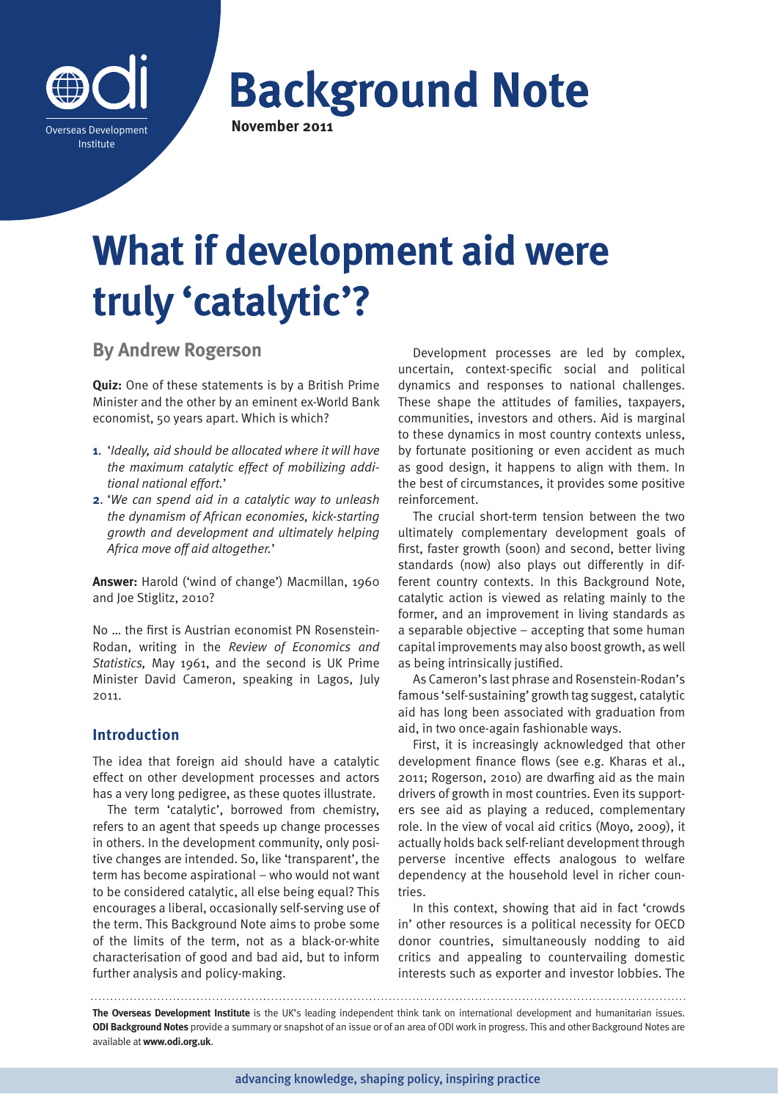

**Background Note** 

# **What if development aid were truly 'catalytic'?**

**By Andrew Rogerson**

**Quiz:** One of these statements is by a British Prime Minister and the other by an eminent ex-World Bank economist, 50 years apart. Which is which?

- **1**. '*Ideally, aid should be allocated where it will have the maximum catalytic effect of mobilizing additional national effort.*'
- **2**. '*We can spend aid in a catalytic way to unleash the dynamism of African economies, kick-starting growth and development and ultimately helping Africa move off aid altogether.*'

**Answer:** Harold ('wind of change') Macmillan, 1960 and Joe Stiglitz, 2010?

No … the first is Austrian economist PN Rosenstein-Rodan, writing in the *Review of Economics and Statistics,* May 1961, and the second is UK Prime Minister David Cameron, speaking in Lagos, July 2011.

# **Introduction**

The idea that foreign aid should have a catalytic effect on other development processes and actors has a very long pedigree, as these quotes illustrate.

The term 'catalytic', borrowed from chemistry, refers to an agent that speeds up change processes in others. In the development community, only positive changes are intended. So, like 'transparent', the term has become aspirational – who would not want to be considered catalytic, all else being equal? This encourages a liberal, occasionally self-serving use of the term. This Background Note aims to probe some of the limits of the term, not as a black-or-white characterisation of good and bad aid, but to inform further analysis and policy-making.

Development processes are led by complex, uncertain, context-specific social and political dynamics and responses to national challenges. These shape the attitudes of families, taxpayers, communities, investors and others. Aid is marginal to these dynamics in most country contexts unless, by fortunate positioning or even accident as much as good design, it happens to align with them. In the best of circumstances, it provides some positive reinforcement.

The crucial short-term tension between the two ultimately complementary development goals of first, faster growth (soon) and second, better living standards (now) also plays out differently in different country contexts. In this Background Note, catalytic action is viewed as relating mainly to the former, and an improvement in living standards as a separable objective – accepting that some human capital improvements may also boost growth, as well as being intrinsically justified.

As Cameron's last phrase and Rosenstein-Rodan's famous 'self-sustaining' growth tag suggest, catalytic aid has long been associated with graduation from aid, in two once-again fashionable ways.

First, it is increasingly acknowledged that other development finance flows (see e.g. Kharas et al., 2011; Rogerson, 2010) are dwarfing aid as the main drivers of growth in most countries. Even its supporters see aid as playing a reduced, complementary role. In the view of vocal aid critics (Moyo, 2009), it actually holds back self-reliant development through perverse incentive effects analogous to welfare dependency at the household level in richer countries.

In this context, showing that aid in fact 'crowds in' other resources is a political necessity for OECD donor countries, simultaneously nodding to aid critics and appealing to countervailing domestic interests such as exporter and investor lobbies. The

**The Overseas Development Institute** is the UK's leading independent think tank on international development and humanitarian issues. **ODI Background Notes** provide a summary or snapshot of an issue or of an area of ODI work in progress. This and other Background Notes are available at **www.odi.org.uk**.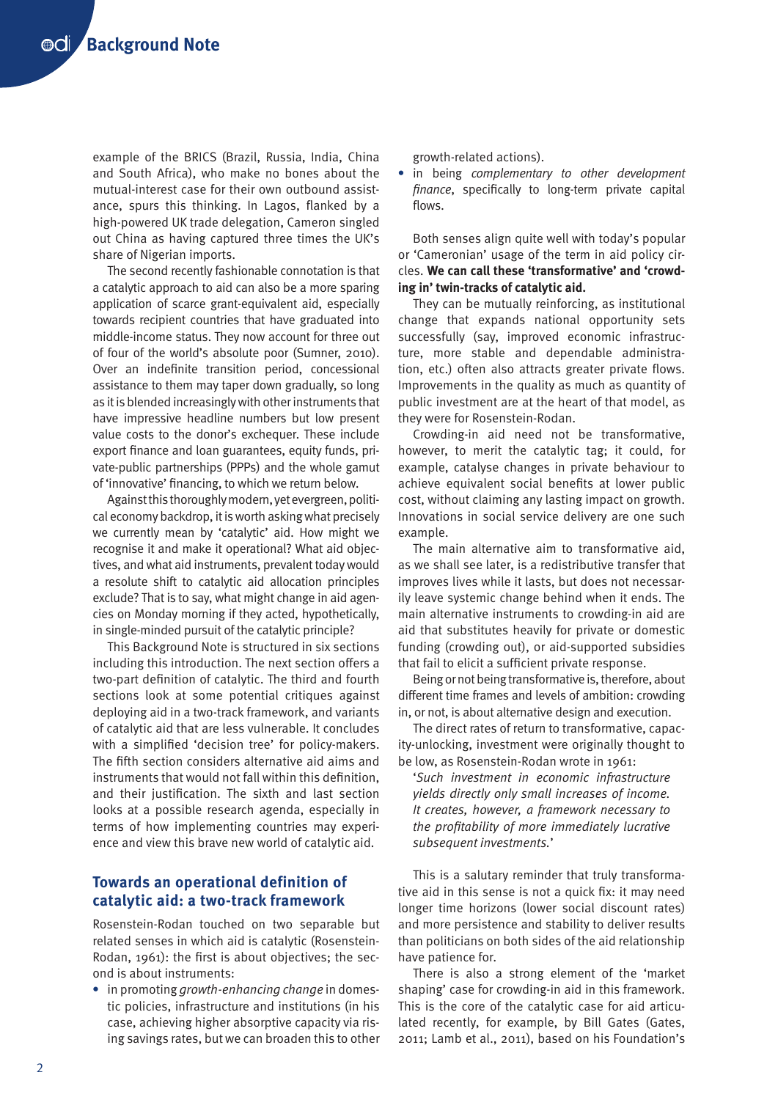example of the BRICS (Brazil, Russia, India, China and South Africa), who make no bones about the mutual-interest case for their own outbound assistance, spurs this thinking. In Lagos, flanked by a high-powered UK trade delegation, Cameron singled out China as having captured three times the UK's share of Nigerian imports.

The second recently fashionable connotation is that a catalytic approach to aid can also be a more sparing application of scarce grant-equivalent aid, especially towards recipient countries that have graduated into middle-income status. They now account for three out of four of the world's absolute poor (Sumner, 2010). Over an indefinite transition period, concessional assistance to them may taper down gradually, so long as it is blended increasingly with other instruments that have impressive headline numbers but low present value costs to the donor's exchequer. These include export finance and loan guarantees, equity funds, private-public partnerships (PPPs) and the whole gamut of 'innovative' financing, to which we return below.

Against this thoroughly modern, yet evergreen, political economy backdrop, it is worth asking what precisely we currently mean by 'catalytic' aid. How might we recognise it and make it operational? What aid objectives, and what aid instruments, prevalent today would a resolute shift to catalytic aid allocation principles exclude? That is to say, what might change in aid agencies on Monday morning if they acted, hypothetically, in single-minded pursuit of the catalytic principle?

This Background Note is structured in six sections including this introduction. The next section offers a two-part definition of catalytic. The third and fourth sections look at some potential critiques against deploying aid in a two-track framework, and variants of catalytic aid that are less vulnerable. It concludes with a simplified 'decision tree' for policy-makers. The fifth section considers alternative aid aims and instruments that would not fall within this definition, and their justification. The sixth and last section looks at a possible research agenda, especially in terms of how implementing countries may experience and view this brave new world of catalytic aid.

# **Towards an operational definition of catalytic aid: a two-track framework**

Rosenstein-Rodan touched on two separable but related senses in which aid is catalytic (Rosenstein-Rodan, 1961): the first is about objectives; the second is about instruments:

**•** in promoting *growth-enhancing change* in domestic policies, infrastructure and institutions (in his case, achieving higher absorptive capacity via rising savings rates, but we can broaden this to other growth-related actions).

**•** in being *complementary to other development finance*, specifically to long-term private capital flows.

Both senses align quite well with today's popular or 'Cameronian' usage of the term in aid policy circles. **We can call these 'transformative' and 'crowding in' twin-tracks of catalytic aid.** 

They can be mutually reinforcing, as institutional change that expands national opportunity sets successfully (say, improved economic infrastructure, more stable and dependable administration, etc.) often also attracts greater private flows. Improvements in the quality as much as quantity of public investment are at the heart of that model, as they were for Rosenstein-Rodan.

Crowding-in aid need not be transformative, however, to merit the catalytic tag; it could, for example, catalyse changes in private behaviour to achieve equivalent social benefits at lower public cost, without claiming any lasting impact on growth. Innovations in social service delivery are one such example.

The main alternative aim to transformative aid, as we shall see later, is a redistributive transfer that improves lives while it lasts, but does not necessarily leave systemic change behind when it ends. The main alternative instruments to crowding-in aid are aid that substitutes heavily for private or domestic funding (crowding out), or aid-supported subsidies that fail to elicit a sufficient private response.

Being or not being transformative is, therefore, about different time frames and levels of ambition: crowding in, or not, is about alternative design and execution.

The direct rates of return to transformative, capacity-unlocking, investment were originally thought to be low, as Rosenstein-Rodan wrote in 1961:

'*Such investment in economic infrastructure yields directly only small increases of income. It creates, however, a framework necessary to the profitability of more immediately lucrative subsequent investments.*'

This is a salutary reminder that truly transformative aid in this sense is not a quick fix: it may need longer time horizons (lower social discount rates) and more persistence and stability to deliver results than politicians on both sides of the aid relationship have patience for.

There is also a strong element of the 'market shaping' case for crowding-in aid in this framework. This is the core of the catalytic case for aid articulated recently, for example, by Bill Gates (Gates, 2011; Lamb et al., 2011), based on his Foundation's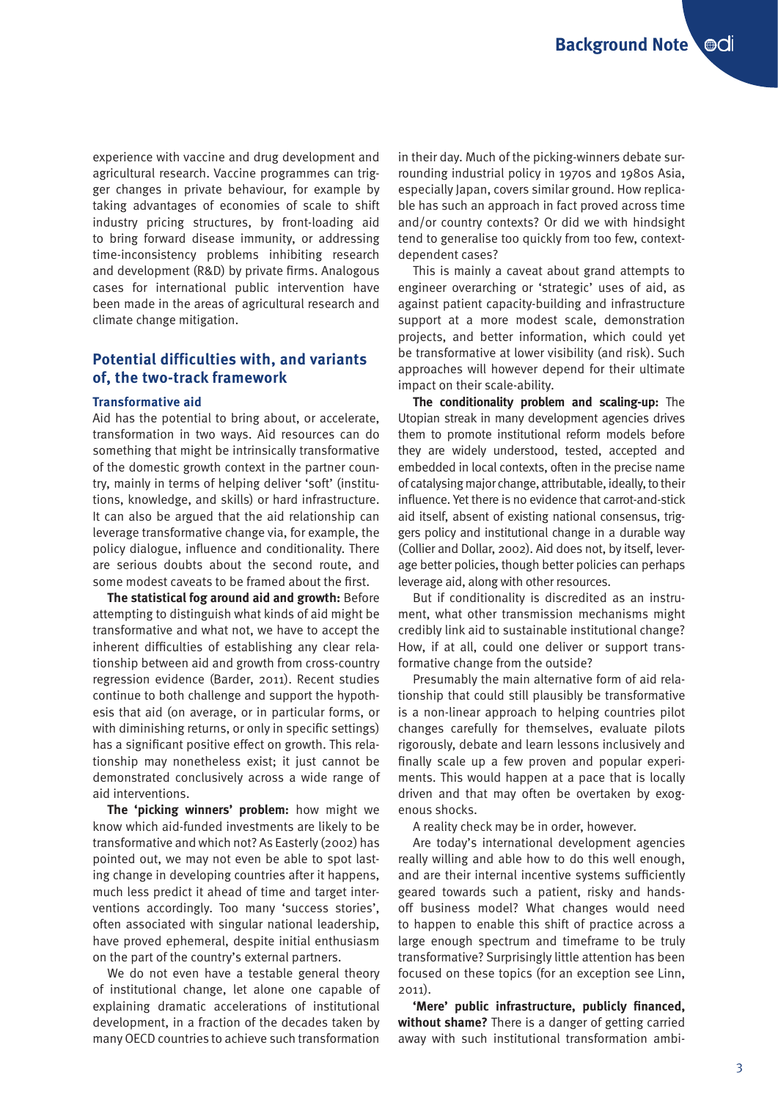experience with vaccine and drug development and agricultural research. Vaccine programmes can trigger changes in private behaviour, for example by taking advantages of economies of scale to shift industry pricing structures, by front-loading aid to bring forward disease immunity, or addressing time-inconsistency problems inhibiting research and development (R&D) by private firms. Analogous cases for international public intervention have been made in the areas of agricultural research and climate change mitigation.

# **Potential difficulties with, and variants of, the two-track framework**

#### **Transformative aid**

Aid has the potential to bring about, or accelerate, transformation in two ways. Aid resources can do something that might be intrinsically transformative of the domestic growth context in the partner country, mainly in terms of helping deliver 'soft' (institutions, knowledge, and skills) or hard infrastructure. It can also be argued that the aid relationship can leverage transformative change via, for example, the policy dialogue, influence and conditionality. There are serious doubts about the second route, and some modest caveats to be framed about the first.

**The statistical fog around aid and growth:** Before attempting to distinguish what kinds of aid might be transformative and what not, we have to accept the inherent difficulties of establishing any clear relationship between aid and growth from cross-country regression evidence (Barder, 2011). Recent studies continue to both challenge and support the hypothesis that aid (on average, or in particular forms, or with diminishing returns, or only in specific settings) has a significant positive effect on growth. This relationship may nonetheless exist; it just cannot be demonstrated conclusively across a wide range of aid interventions.

**The 'picking winners' problem:** how might we know which aid-funded investments are likely to be transformative and which not? As Easterly (2002) has pointed out, we may not even be able to spot lasting change in developing countries after it happens, much less predict it ahead of time and target interventions accordingly. Too many 'success stories', often associated with singular national leadership, have proved ephemeral, despite initial enthusiasm on the part of the country's external partners.

We do not even have a testable general theory of institutional change, let alone one capable of explaining dramatic accelerations of institutional development, in a fraction of the decades taken by many OECD countries to achieve such transformation

in their day. Much of the picking-winners debate surrounding industrial policy in 1970s and 1980s Asia, especially Japan, covers similar ground. How replicable has such an approach in fact proved across time and/or country contexts? Or did we with hindsight tend to generalise too quickly from too few, contextdependent cases?

This is mainly a caveat about grand attempts to engineer overarching or 'strategic' uses of aid, as against patient capacity-building and infrastructure support at a more modest scale, demonstration projects, and better information, which could yet be transformative at lower visibility (and risk). Such approaches will however depend for their ultimate impact on their scale-ability.

**The conditionality problem and scaling-up:** The Utopian streak in many development agencies drives them to promote institutional reform models before they are widely understood, tested, accepted and embedded in local contexts, often in the precise name of catalysing major change, attributable, ideally, to their influence. Yet there is no evidence that carrot-and-stick aid itself, absent of existing national consensus, triggers policy and institutional change in a durable way (Collier and Dollar, 2002). Aid does not, by itself, leverage better policies, though better policies can perhaps leverage aid, along with other resources.

But if conditionality is discredited as an instrument, what other transmission mechanisms might credibly link aid to sustainable institutional change? How, if at all, could one deliver or support transformative change from the outside?

Presumably the main alternative form of aid relationship that could still plausibly be transformative is a non-linear approach to helping countries pilot changes carefully for themselves, evaluate pilots rigorously, debate and learn lessons inclusively and finally scale up a few proven and popular experiments. This would happen at a pace that is locally driven and that may often be overtaken by exogenous shocks.

A reality check may be in order, however.

Are today's international development agencies really willing and able how to do this well enough, and are their internal incentive systems sufficiently geared towards such a patient, risky and handsoff business model? What changes would need to happen to enable this shift of practice across a large enough spectrum and timeframe to be truly transformative? Surprisingly little attention has been focused on these topics (for an exception see Linn, 2011).

**'Mere' public infrastructure, publicly financed, without shame?** There is a danger of getting carried away with such institutional transformation ambi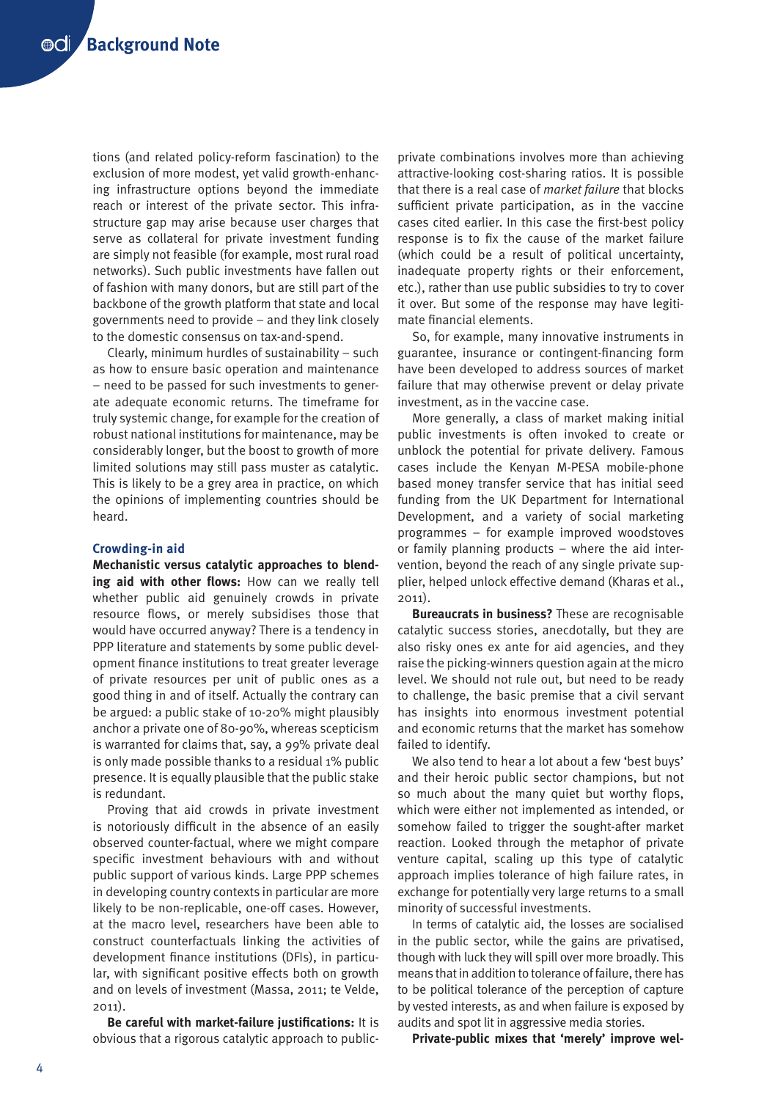tions (and related policy-reform fascination) to the exclusion of more modest, yet valid growth-enhancing infrastructure options beyond the immediate reach or interest of the private sector. This infrastructure gap may arise because user charges that serve as collateral for private investment funding are simply not feasible (for example, most rural road networks). Such public investments have fallen out of fashion with many donors, but are still part of the backbone of the growth platform that state and local governments need to provide – and they link closely to the domestic consensus on tax-and-spend.

Clearly, minimum hurdles of sustainability – such as how to ensure basic operation and maintenance – need to be passed for such investments to generate adequate economic returns. The timeframe for truly systemic change, for example for the creation of robust national institutions for maintenance, may be considerably longer, but the boost to growth of more limited solutions may still pass muster as catalytic. This is likely to be a grey area in practice, on which the opinions of implementing countries should be heard.

#### **Crowding-in aid**

**Mechanistic versus catalytic approaches to blending aid with other flows:** How can we really tell whether public aid genuinely crowds in private resource flows, or merely subsidises those that would have occurred anyway? There is a tendency in PPP literature and statements by some public development finance institutions to treat greater leverage of private resources per unit of public ones as a good thing in and of itself. Actually the contrary can be argued: a public stake of 10-20% might plausibly anchor a private one of 80-90%, whereas scepticism is warranted for claims that, say, a 99% private deal is only made possible thanks to a residual 1% public presence. It is equally plausible that the public stake is redundant.

Proving that aid crowds in private investment is notoriously difficult in the absence of an easily observed counter-factual, where we might compare specific investment behaviours with and without public support of various kinds. Large PPP schemes in developing country contexts in particular are more likely to be non-replicable, one-off cases. However, at the macro level, researchers have been able to construct counterfactuals linking the activities of development finance institutions (DFIs), in particular, with significant positive effects both on growth and on levels of investment (Massa, 2011; te Velde, 2011).

**Be careful with market-failure justifications:** It is obvious that a rigorous catalytic approach to publicprivate combinations involves more than achieving attractive-looking cost-sharing ratios. It is possible that there is a real case of *market failure* that blocks sufficient private participation, as in the vaccine cases cited earlier. In this case the first-best policy response is to fix the cause of the market failure (which could be a result of political uncertainty, inadequate property rights or their enforcement, etc.), rather than use public subsidies to try to cover it over. But some of the response may have legitimate financial elements.

So, for example, many innovative instruments in guarantee, insurance or contingent-financing form have been developed to address sources of market failure that may otherwise prevent or delay private investment, as in the vaccine case.

More generally, a class of market making initial public investments is often invoked to create or unblock the potential for private delivery. Famous cases include the Kenyan M-PESA mobile-phone based money transfer service that has initial seed funding from the UK Department for International Development, and a variety of social marketing programmes – for example improved woodstoves or family planning products – where the aid intervention, beyond the reach of any single private supplier, helped unlock effective demand (Kharas et al., 2011).

**Bureaucrats in business?** These are recognisable catalytic success stories, anecdotally, but they are also risky ones ex ante for aid agencies, and they raise the picking-winners question again at the micro level. We should not rule out, but need to be ready to challenge, the basic premise that a civil servant has insights into enormous investment potential and economic returns that the market has somehow failed to identify.

We also tend to hear a lot about a few 'best buys' and their heroic public sector champions, but not so much about the many quiet but worthy flops, which were either not implemented as intended, or somehow failed to trigger the sought-after market reaction. Looked through the metaphor of private venture capital, scaling up this type of catalytic approach implies tolerance of high failure rates, in exchange for potentially very large returns to a small minority of successful investments.

In terms of catalytic aid, the losses are socialised in the public sector, while the gains are privatised, though with luck they will spill over more broadly. This means that in addition to tolerance of failure, there has to be political tolerance of the perception of capture by vested interests, as and when failure is exposed by audits and spot lit in aggressive media stories.

**Private-public mixes that 'merely' improve wel-**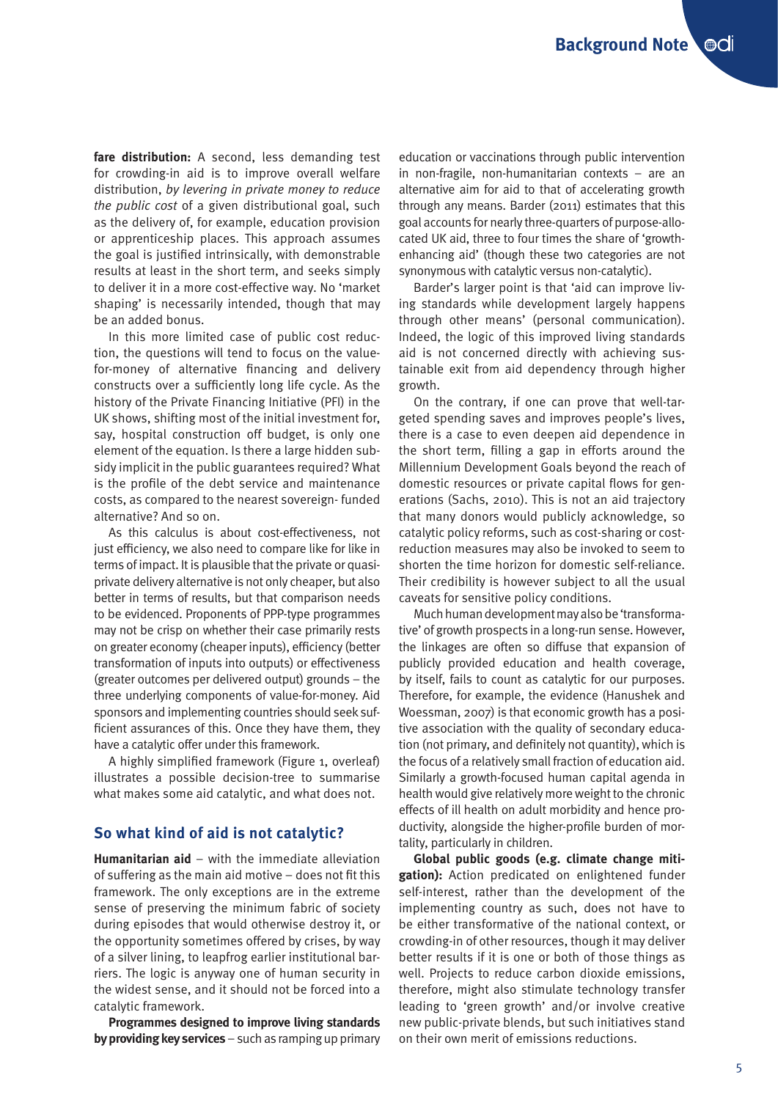**fare distribution:** A second, less demanding test for crowding-in aid is to improve overall welfare distribution, *by levering in private money to reduce the public cost* of a given distributional goal, such as the delivery of, for example, education provision or apprenticeship places. This approach assumes the goal is justified intrinsically, with demonstrable results at least in the short term, and seeks simply to deliver it in a more cost-effective way. No 'market shaping' is necessarily intended, though that may be an added bonus.

In this more limited case of public cost reduction, the questions will tend to focus on the valuefor-money of alternative financing and delivery constructs over a sufficiently long life cycle. As the history of the Private Financing Initiative (PFI) in the UK shows, shifting most of the initial investment for, say, hospital construction off budget, is only one element of the equation. Is there a large hidden subsidy implicit in the public guarantees required? What is the profile of the debt service and maintenance costs, as compared to the nearest sovereign- funded alternative? And so on.

As this calculus is about cost-effectiveness, not just efficiency, we also need to compare like for like in terms of impact. It is plausible that the private or quasiprivate delivery alternative is not only cheaper, but also better in terms of results, but that comparison needs to be evidenced. Proponents of PPP-type programmes may not be crisp on whether their case primarily rests on greater economy (cheaper inputs), efficiency (better transformation of inputs into outputs) or effectiveness (greater outcomes per delivered output) grounds – the three underlying components of value-for-money. Aid sponsors and implementing countries should seek sufficient assurances of this. Once they have them, they have a catalytic offer under this framework.

A highly simplified framework (Figure 1, overleaf) illustrates a possible decision-tree to summarise what makes some aid catalytic, and what does not.

## **So what kind of aid is not catalytic?**

**Humanitarian aid** – with the immediate alleviation of suffering as the main aid motive – does not fit this framework. The only exceptions are in the extreme sense of preserving the minimum fabric of society during episodes that would otherwise destroy it, or the opportunity sometimes offered by crises, by way of a silver lining, to leapfrog earlier institutional barriers. The logic is anyway one of human security in the widest sense, and it should not be forced into a catalytic framework.

**Programmes designed to improve living standards by providing key services** – such as ramping up primary education or vaccinations through public intervention in non-fragile, non-humanitarian contexts – are an alternative aim for aid to that of accelerating growth through any means. Barder (2011) estimates that this goal accounts for nearly three-quarters of purpose-allocated UK aid, three to four times the share of 'growthenhancing aid' (though these two categories are not synonymous with catalytic versus non-catalytic).

Barder's larger point is that 'aid can improve living standards while development largely happens through other means' (personal communication). Indeed, the logic of this improved living standards aid is not concerned directly with achieving sustainable exit from aid dependency through higher growth.

On the contrary, if one can prove that well-targeted spending saves and improves people's lives, there is a case to even deepen aid dependence in the short term, filling a gap in efforts around the Millennium Development Goals beyond the reach of domestic resources or private capital flows for generations (Sachs, 2010). This is not an aid trajectory that many donors would publicly acknowledge, so catalytic policy reforms, such as cost-sharing or costreduction measures may also be invoked to seem to shorten the time horizon for domestic self-reliance. Their credibility is however subject to all the usual caveats for sensitive policy conditions.

Much human development may also be 'transformative' of growth prospects in a long-run sense. However, the linkages are often so diffuse that expansion of publicly provided education and health coverage, by itself, fails to count as catalytic for our purposes. Therefore, for example, the evidence (Hanushek and Woessman, 2007) is that economic growth has a positive association with the quality of secondary education (not primary, and definitely not quantity), which is the focus of a relatively small fraction of education aid. Similarly a growth-focused human capital agenda in health would give relatively more weight to the chronic effects of ill health on adult morbidity and hence productivity, alongside the higher-profile burden of mortality, particularly in children.

**Global public goods (e.g. climate change mitigation):** Action predicated on enlightened funder self-interest, rather than the development of the implementing country as such, does not have to be either transformative of the national context, or crowding-in of other resources, though it may deliver better results if it is one or both of those things as well. Projects to reduce carbon dioxide emissions, therefore, might also stimulate technology transfer leading to 'green growth' and/or involve creative new public-private blends, but such initiatives stand on their own merit of emissions reductions.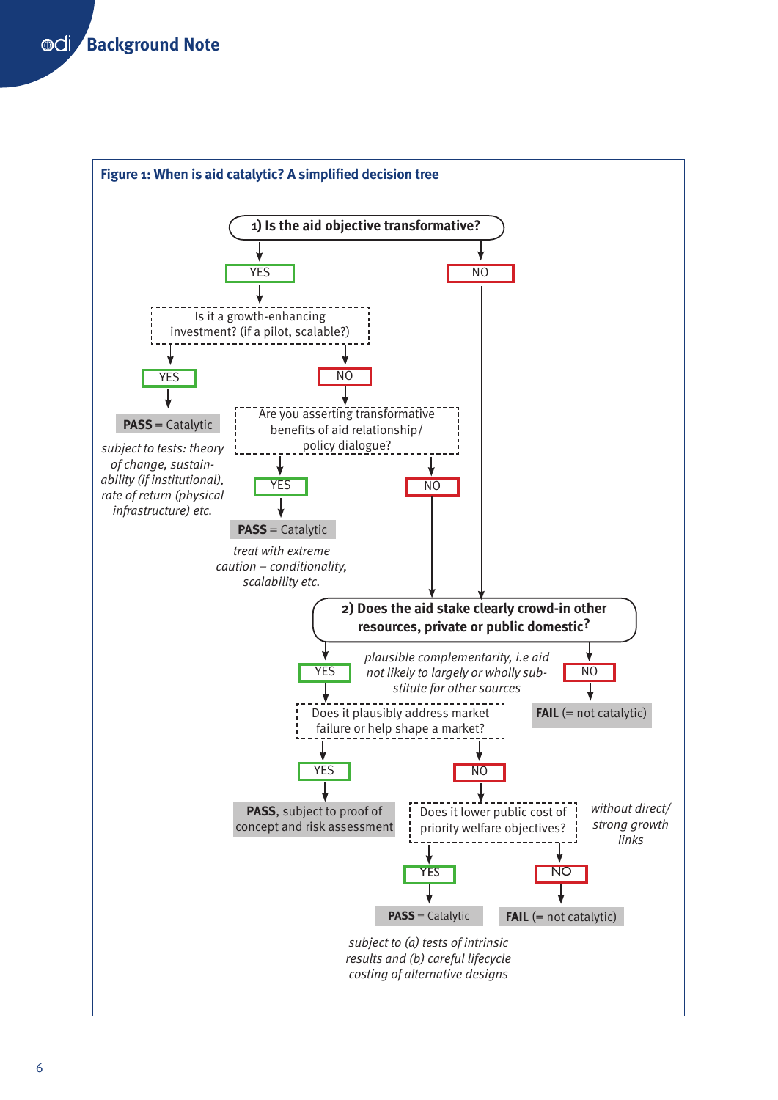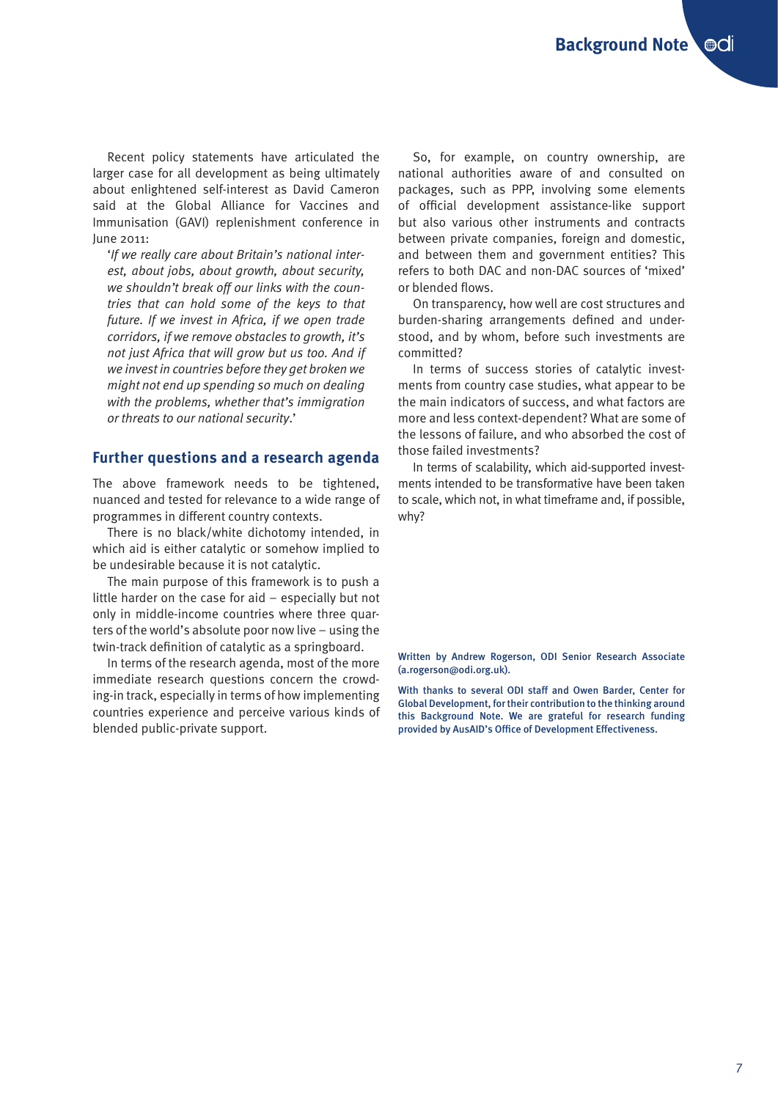Recent policy statements have articulated the larger case for all development as being ultimately about enlightened self-interest as David Cameron said at the Global Alliance for Vaccines and Immunisation (GAVI) replenishment conference in June 2011:

'*If we really care about Britain's national interest, about jobs, about growth, about security, we shouldn't break off our links with the countries that can hold some of the keys to that future. If we invest in Africa, if we open trade corridors, if we remove obstacles to growth, it's not just Africa that will grow but us too. And if we invest in countries before they get broken we might not end up spending so much on dealing with the problems, whether that's immigration or threats to our national security*.'

### **Further questions and a research agenda**

The above framework needs to be tightened, nuanced and tested for relevance to a wide range of programmes in different country contexts.

There is no black/white dichotomy intended, in which aid is either catalytic or somehow implied to be undesirable because it is not catalytic.

The main purpose of this framework is to push a little harder on the case for aid – especially but not only in middle-income countries where three quarters of the world's absolute poor now live – using the twin-track definition of catalytic as a springboard.

In terms of the research agenda, most of the more immediate research questions concern the crowding-in track, especially in terms of how implementing countries experience and perceive various kinds of blended public-private support.

So, for example, on country ownership, are national authorities aware of and consulted on packages, such as PPP, involving some elements of official development assistance-like support but also various other instruments and contracts between private companies, foreign and domestic, and between them and government entities? This refers to both DAC and non-DAC sources of 'mixed' or blended flows.

On transparency, how well are cost structures and burden-sharing arrangements defined and understood, and by whom, before such investments are committed?

In terms of success stories of catalytic investments from country case studies, what appear to be the main indicators of success, and what factors are more and less context-dependent? What are some of the lessons of failure, and who absorbed the cost of those failed investments?

In terms of scalability, which aid-supported investments intended to be transformative have been taken to scale, which not, in what timeframe and, if possible, why?

Written by Andrew Rogerson, ODI Senior Research Associate (a.rogerson@odi.org.uk).

With thanks to several ODI staff and Owen Barder, Center for Global Development, for their contribution to the thinking around this Background Note. We are grateful for research funding provided by AusAID's Office of Development Effectiveness.